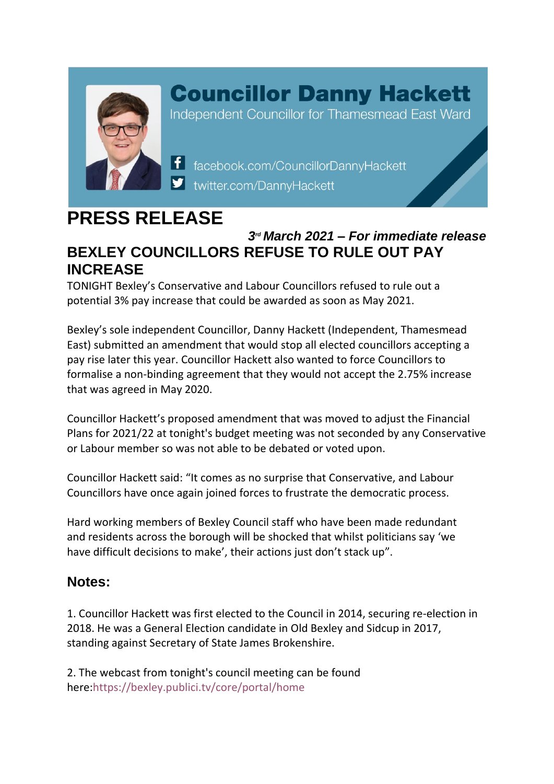

## **Councillor Danny Hackett**

Independent Councillor for Thamesmead East Ward

f facebook.com/CouncillorDannyHackett twitter.com/DannyHackett

## **PRESS RELEASE**

## *3 rd March 2021 – For immediate release* **BEXLEY COUNCILLORS REFUSE TO RULE OUT PAY INCREASE**

TONIGHT Bexley's Conservative and Labour Councillors refused to rule out a potential 3% pay increase that could be awarded as soon as May 2021.

Bexley's sole independent Councillor, Danny Hackett (Independent, Thamesmead East) submitted an amendment that would stop all elected councillors accepting a pay rise later this year. Councillor Hackett also wanted to force Councillors to formalise a non-binding agreement that they would not accept the 2.75% increase that was agreed in May 2020.

Councillor Hackett's proposed amendment that was moved to adjust the Financial Plans for 2021/22 at tonight's budget meeting was not seconded by any Conservative or Labour member so was not able to be debated or voted upon.

Councillor Hackett said: "It comes as no surprise that Conservative, and Labour Councillors have once again joined forces to frustrate the democratic process.

Hard working members of Bexley Council staff who have been made redundant and residents across the borough will be shocked that whilst politicians say 'we have difficult decisions to make', their actions just don't stack up".

## **Notes:**

1. Councillor Hackett was first elected to the Council in 2014, securing re-election in 2018. He was a General Election candidate in Old Bexley and Sidcup in 2017, standing against Secretary of State James Brokenshire.

2. The webcast from tonight's council meeting can be found here:https://bexley.publici.tv/core/portal/home